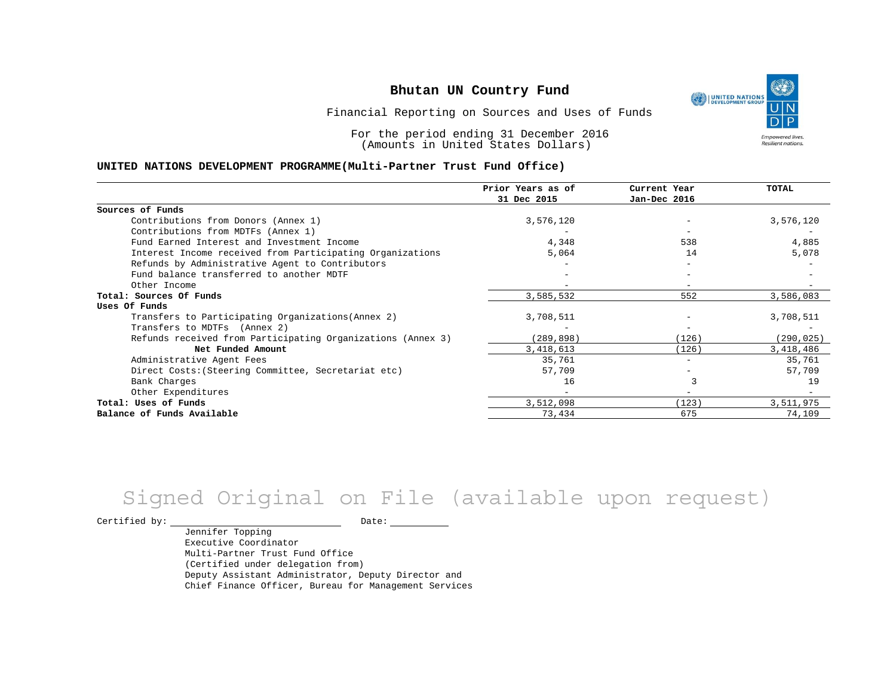١ UNITED NATIONS **Empowered lives** Resilient nations.

Financial Reporting on Sources and Uses of Funds

For the period ending 31 December 2016 (Amounts in United States Dollars)

#### **UNITED NATIONS DEVELOPMENT PROGRAMME(Multi-Partner Trust Fund Office)**

|                                                             | Prior Years as of | Current Year      | <b>TOTAL</b> |
|-------------------------------------------------------------|-------------------|-------------------|--------------|
|                                                             | 31 Dec 2015       | Jan-Dec 2016      |              |
| Sources of Funds                                            |                   |                   |              |
| Contributions from Donors (Annex 1)                         | 3,576,120         |                   | 3,576,120    |
| Contributions from MDTFs (Annex 1)                          |                   |                   |              |
| Fund Earned Interest and Investment Income                  | 4,348             | 538               | 4,885        |
| Interest Income received from Participating Organizations   | 5,064             | 14                | 5,078        |
| Refunds by Administrative Agent to Contributors             |                   |                   |              |
| Fund balance transferred to another MDTF                    |                   |                   |              |
| Other Income                                                |                   |                   |              |
| Total: Sources Of Funds                                     | 3,585,532         | 552               | 3,586,083    |
| Uses Of Funds                                               |                   |                   |              |
| Transfers to Participating Organizations (Annex 2)          | 3,708,511         |                   | 3,708,511    |
| Transfers to MDTFs (Annex 2)                                |                   |                   |              |
| Refunds received from Participating Organizations (Annex 3) | (289,898)         | (126)             | (290, 025)   |
| Net Funded Amount                                           | 3, 418, 613       | (126)             | 3,418,486    |
| Administrative Agent Fees                                   | 35,761            | $\qquad \qquad -$ | 35,761       |
| Direct Costs: (Steering Committee, Secretariat etc)         | 57,709            |                   | 57,709       |
| Bank Charges                                                | 16                |                   | 19           |
| Other Expenditures                                          |                   |                   |              |
| Total: Uses of Funds                                        | 3,512,098         | (123)             | 3,511,975    |
| Balance of Funds Available                                  | 73,434            | 675               | 74,109       |

# Signed Original on File (available upon request)

Certified by: Date:

Jennifer Topping Executive Coordinator Multi-Partner Trust Fund Office (Certified under delegation from) Deputy Assistant Administrator, Deputy Director and Chief Finance Officer, Bureau for Management Services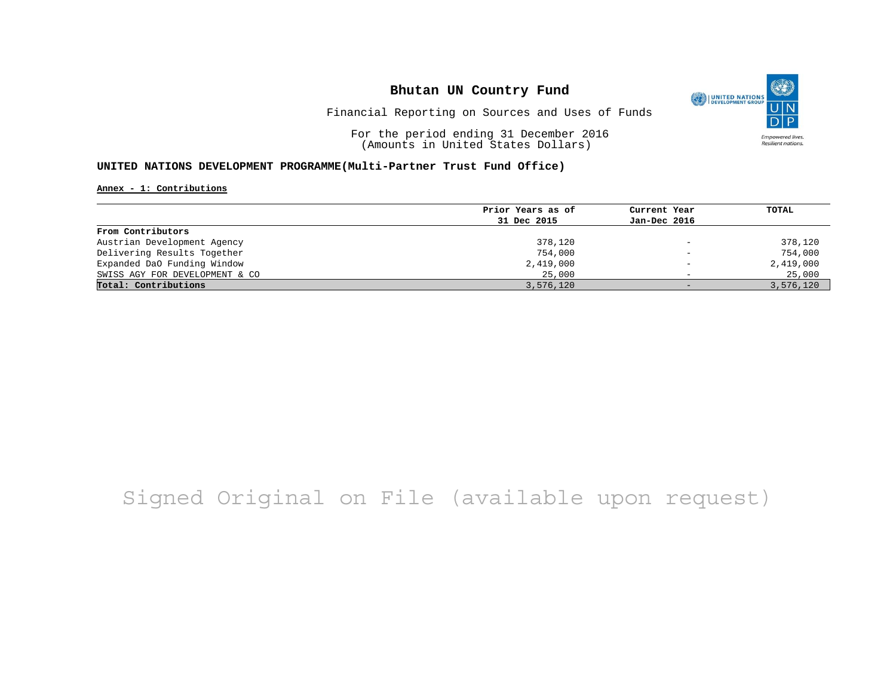

Financial Reporting on Sources and Uses of Funds

For the period ending 31 December 2016 (Amounts in United States Dollars)

#### **UNITED NATIONS DEVELOPMENT PROGRAMME(Multi-Partner Trust Fund Office)**

**Annex - 1: Contributions**

| Prior Years as of | Current Year             | TOTAL     |
|-------------------|--------------------------|-----------|
| 31 Dec 2015       | Jan-Dec 2016             |           |
|                   |                          |           |
| 378,120           | $\overline{\phantom{a}}$ | 378,120   |
| 754,000           | $\qquad \qquad -$        | 754,000   |
| 2,419,000         | $\overline{\phantom{a}}$ | 2,419,000 |
| 25,000            | $\overline{\phantom{0}}$ | 25,000    |
| 3,576,120         | $\overline{\phantom{0}}$ | 3,576,120 |
|                   |                          |           |

## Signed Original on File (available upon request)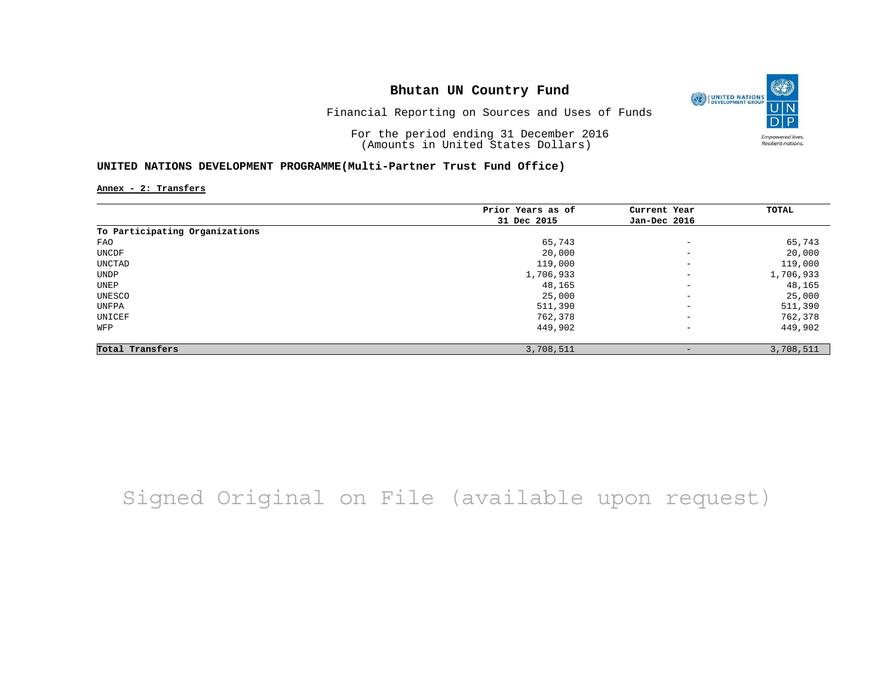

Financial Reporting on Sources and Uses of Funds

For the period ending 31 December 2016 (Amounts in United States Dollars)

#### **UNITED NATIONS DEVELOPMENT PROGRAMME(Multi-Partner Trust Fund Office)**

**Annex - 2: Transfers**

|                                | Prior Years as of | Current Year             | TOTAL     |
|--------------------------------|-------------------|--------------------------|-----------|
|                                | 31 Dec 2015       | Jan-Dec 2016             |           |
| To Participating Organizations |                   |                          |           |
| FAO                            | 65,743            | $\overline{\phantom{m}}$ | 65,743    |
| UNCDF                          | 20,000            | $\overline{\phantom{m}}$ | 20,000    |
| UNCTAD                         | 119,000           | $\overline{\phantom{m}}$ | 119,000   |
| UNDP                           | 1,706,933         | $\overline{\phantom{m}}$ | 1,706,933 |
| UNEP                           | 48,165            | $\overline{\phantom{m}}$ | 48,165    |
| UNESCO                         | 25,000            | $\qquad \qquad -$        | 25,000    |
| UNFPA                          | 511,390           | $\overline{\phantom{m}}$ | 511,390   |
| UNICEF                         | 762,378           | $\overline{\phantom{m}}$ | 762,378   |
| WFP                            | 449,902           | $\overline{\phantom{m}}$ | 449,902   |
| Total Transfers                | 3,708,511         | -                        | 3,708,511 |

## Signed Original on File (available upon request)